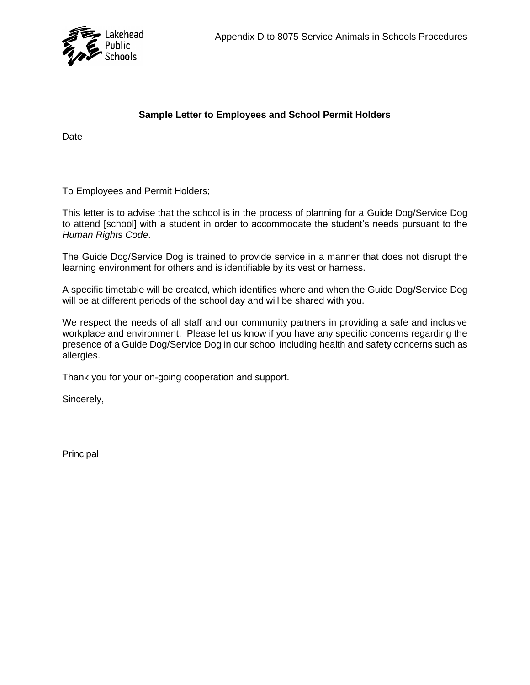

## **Sample Letter to Employees and School Permit Holders**

Date

To Employees and Permit Holders;

This letter is to advise that the school is in the process of planning for a Guide Dog/Service Dog to attend [school] with a student in order to accommodate the student's needs pursuant to the *Human Rights Code*.

The Guide Dog/Service Dog is trained to provide service in a manner that does not disrupt the learning environment for others and is identifiable by its vest or harness.

A specific timetable will be created, which identifies where and when the Guide Dog/Service Dog will be at different periods of the school day and will be shared with you.

We respect the needs of all staff and our community partners in providing a safe and inclusive workplace and environment. Please let us know if you have any specific concerns regarding the presence of a Guide Dog/Service Dog in our school including health and safety concerns such as allergies.

Thank you for your on-going cooperation and support.

Sincerely,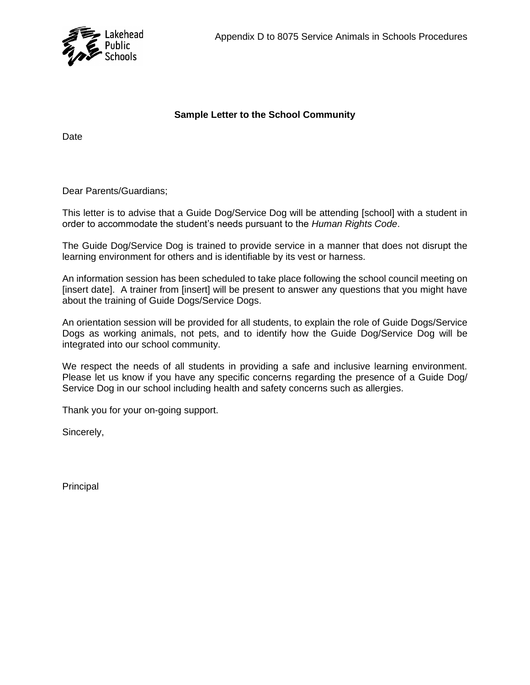

## **Sample Letter to the School Community**

Date

Dear Parents/Guardians;

This letter is to advise that a Guide Dog/Service Dog will be attending [school] with a student in order to accommodate the student's needs pursuant to the *Human Rights Code*.

The Guide Dog/Service Dog is trained to provide service in a manner that does not disrupt the learning environment for others and is identifiable by its vest or harness.

An information session has been scheduled to take place following the school council meeting on [insert date]. A trainer from [insert] will be present to answer any questions that you might have about the training of Guide Dogs/Service Dogs.

An orientation session will be provided for all students, to explain the role of Guide Dogs/Service Dogs as working animals, not pets, and to identify how the Guide Dog/Service Dog will be integrated into our school community.

We respect the needs of all students in providing a safe and inclusive learning environment. Please let us know if you have any specific concerns regarding the presence of a Guide Dog/ Service Dog in our school including health and safety concerns such as allergies.

Thank you for your on-going support.

Sincerely,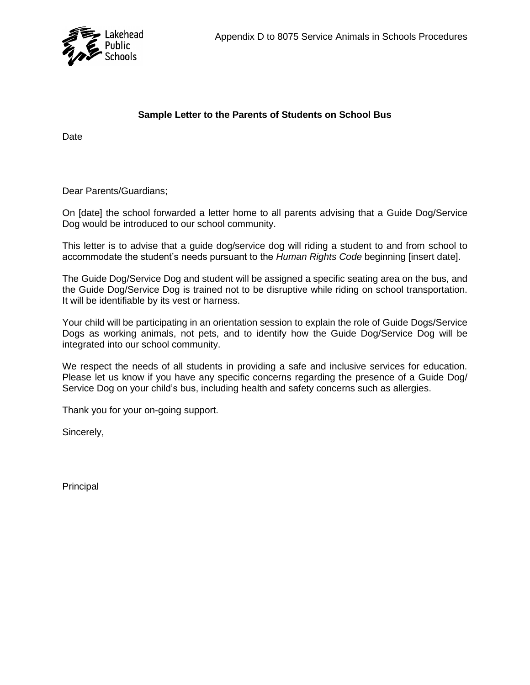

## **Sample Letter to the Parents of Students on School Bus**

Date

Dear Parents/Guardians;

On [date] the school forwarded a letter home to all parents advising that a Guide Dog/Service Dog would be introduced to our school community.

This letter is to advise that a guide dog/service dog will riding a student to and from school to accommodate the student's needs pursuant to the *Human Rights Code* beginning [insert date].

The Guide Dog/Service Dog and student will be assigned a specific seating area on the bus, and the Guide Dog/Service Dog is trained not to be disruptive while riding on school transportation. It will be identifiable by its vest or harness.

Your child will be participating in an orientation session to explain the role of Guide Dogs/Service Dogs as working animals, not pets, and to identify how the Guide Dog/Service Dog will be integrated into our school community.

We respect the needs of all students in providing a safe and inclusive services for education. Please let us know if you have any specific concerns regarding the presence of a Guide Dog/ Service Dog on your child's bus, including health and safety concerns such as allergies.

Thank you for your on-going support.

Sincerely,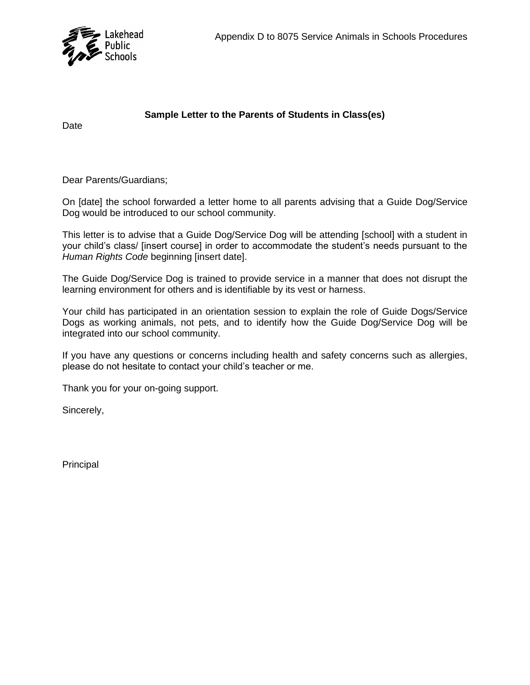

**Sample Letter to the Parents of Students in Class(es)**

Date

Dear Parents/Guardians;

On [date] the school forwarded a letter home to all parents advising that a Guide Dog/Service Dog would be introduced to our school community.

This letter is to advise that a Guide Dog/Service Dog will be attending [school] with a student in your child's class/ [insert course] in order to accommodate the student's needs pursuant to the *Human Rights Code* beginning [insert date].

The Guide Dog/Service Dog is trained to provide service in a manner that does not disrupt the learning environment for others and is identifiable by its vest or harness.

Your child has participated in an orientation session to explain the role of Guide Dogs/Service Dogs as working animals, not pets, and to identify how the Guide Dog/Service Dog will be integrated into our school community.

If you have any questions or concerns including health and safety concerns such as allergies, please do not hesitate to contact your child's teacher or me.

Thank you for your on-going support.

Sincerely,